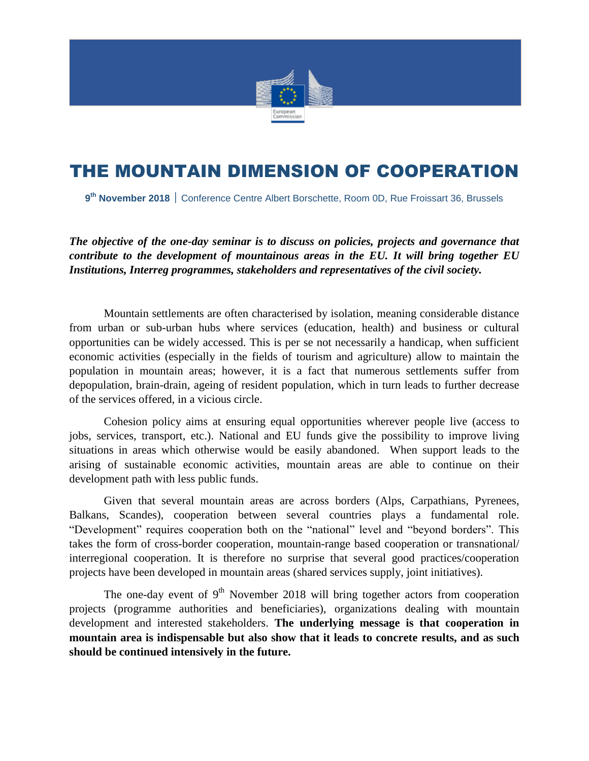

# THE MOUNTAIN DIMENSION OF COOPERATION

**9 th November 2018** Conference Centre Albert Borschette, Room 0D, Rue Froissart 36, Brussels

*The objective of the one-day seminar is to discuss on policies, projects and governance that contribute to the development of mountainous areas in the EU. It will bring together EU Institutions, Interreg programmes, stakeholders and representatives of the civil society.*

Mountain settlements are often characterised by isolation, meaning considerable distance from urban or sub-urban hubs where services (education, health) and business or cultural opportunities can be widely accessed. This is per se not necessarily a handicap, when sufficient economic activities (especially in the fields of tourism and agriculture) allow to maintain the population in mountain areas; however, it is a fact that numerous settlements suffer from depopulation, brain-drain, ageing of resident population, which in turn leads to further decrease of the services offered, in a vicious circle.

Cohesion policy aims at ensuring equal opportunities wherever people live (access to jobs, services, transport, etc.). National and EU funds give the possibility to improve living situations in areas which otherwise would be easily abandoned. When support leads to the arising of sustainable economic activities, mountain areas are able to continue on their development path with less public funds.

Given that several mountain areas are across borders (Alps, Carpathians, Pyrenees, Balkans, Scandes), cooperation between several countries plays a fundamental role. "Development" requires cooperation both on the "national" level and "beyond borders". This takes the form of cross-border cooperation, mountain-range based cooperation or transnational/ interregional cooperation. It is therefore no surprise that several good practices/cooperation projects have been developed in mountain areas (shared services supply, joint initiatives).

The one-day event of  $9<sup>th</sup>$  November 2018 will bring together actors from cooperation projects (programme authorities and beneficiaries), organizations dealing with mountain development and interested stakeholders. **The underlying message is that cooperation in mountain area is indispensable but also show that it leads to concrete results, and as such should be continued intensively in the future.**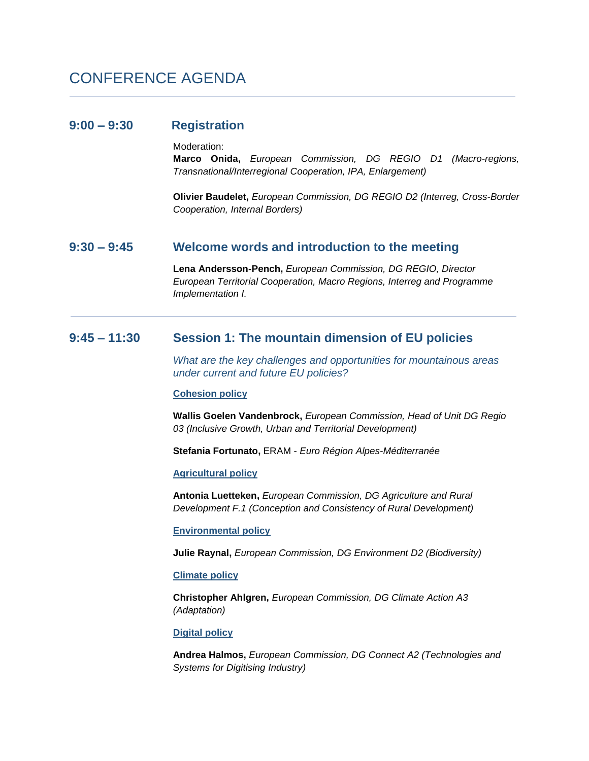# CONFERENCE AGENDA

### **9:00 – 9:30 Registration**

Moderation:

**Marco Onida,** *European Commission, DG REGIO D1 (Macro-regions, Transnational/Interregional Cooperation, IPA, Enlargement)*

**Olivier Baudelet,** *European Commission, DG REGIO D2 (Interreg, Cross-Border Cooperation, Internal Borders)*

### **9:30 – 9:45 Welcome words and introduction to the meeting**

**Lena Andersson-Pench,** *European Commission, DG REGIO, Director European Territorial Cooperation, Macro Regions, Interreg and Programme Implementation I.*

# **9:45 – 11:30 Session 1: The mountain dimension of EU policies**

*What are the key challenges and opportunities for mountainous areas under current and future EU policies?* 

### **Cohesion policy**

**Wallis Goelen Vandenbrock,** *European Commission, Head of Unit DG Regio 03 (Inclusive Growth, Urban and Territorial Development)*

**Stefania Fortunato,** ERAM - *Euro Région Alpes-Méditerranée* 

### **Agricultural policy**

**Antonia Luetteken,** *European Commission, DG Agriculture and Rural Development F.1 (Conception and Consistency of Rural Development)*

**Environmental policy**

**Julie Raynal,** *European Commission, DG Environment D2 (Biodiversity)*

### **Climate policy**

**Christopher Ahlgren,** *European Commission, DG Climate Action A3 (Adaptation)*

**Digital policy**

**Andrea Halmos,** *European Commission, DG Connect A2 (Technologies and Systems for Digitising Industry)*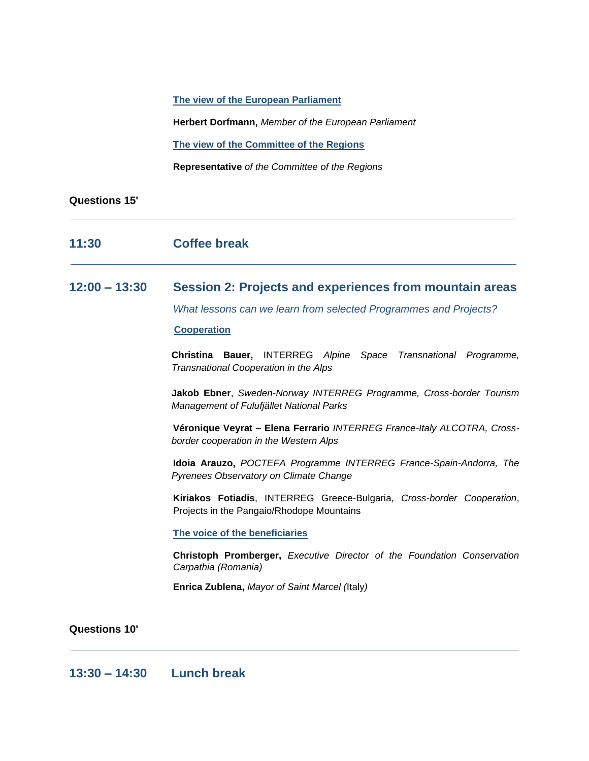**The view of the European Parliament**

**Herbert Dorfmann,** *Member of the European Parliament*

**The view of the Committee of the Regions**

**Representative** *of the Committee of the Regions*

### **Questions 15'**

# **11:30 Coffee break**

## **12:00 – 13:30 Session 2: Projects and experiences from mountain areas**

*What lessons can we learn from selected Programmes and Projects?*

### **Cooperation**

**Christina Bauer,** INTERREG *Alpine Space Transnational Programme, Transnational Cooperation in the Alps* 

**Jakob Ebner**, *Sweden-Norway INTERREG Programme, Cross-border Tourism Management of Fulufjället National Parks*

**Véronique Veyrat – Elena Ferrario** *INTERREG France-Italy ALCOTRA, Crossborder cooperation in the Western Alps*

**Idoia Arauzo,** *POCTEFA Programme INTERREG France-Spain-Andorra, The Pyrenees Observatory on Climate Change*

**Kiriakos Fotiadis**, INTERREG Greece-Bulgaria, *Cross-border Cooperation*, Projects in the Pangaio/Rhodope Mountains

**The voice of the beneficiaries**

**Christoph Promberger,** *Executive Director of the Foundation Conservation Carpathia (Romania)*

**Enrica Zublena,** *Mayor of Saint Marcel (*Italy*)*

**Questions 10'**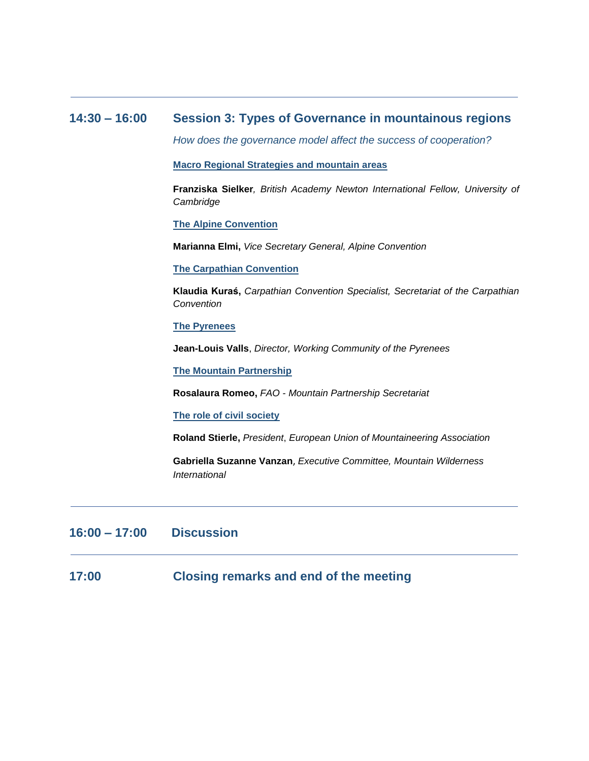# **14:30 – 16:00 Session 3: Types of Governance in mountainous regions**

*How does the governance model affect the success of cooperation?*

**Macro Regional Strategies and mountain areas** 

**Franziska Sielker***, British Academy Newton International Fellow, University of Cambridge* 

**The Alpine Convention**

**Marianna Elmi,** *Vice Secretary General, Alpine Convention*

**The Carpathian Convention**

**Klaudia Kuraś,** *Carpathian Convention Specialist, Secretariat of the Carpathian Convention*

#### **The Pyrenees**

**Jean-Louis Valls**, *Director, Working Community of the Pyrenees*

**The Mountain Partnership**

**Rosalaura Romeo,** *FAO - Mountain Partnership Secretariat*

**The role of civil society**

**Roland Stierle,** *President*, *European Union of Mountaineering Association*

**Gabriella Suzanne Vanzan**, *Executive Committee, Mountain Wilderness International*

# **16:00 – 17:00 Discussion**

**17:00 Closing remarks and end of the meeting**